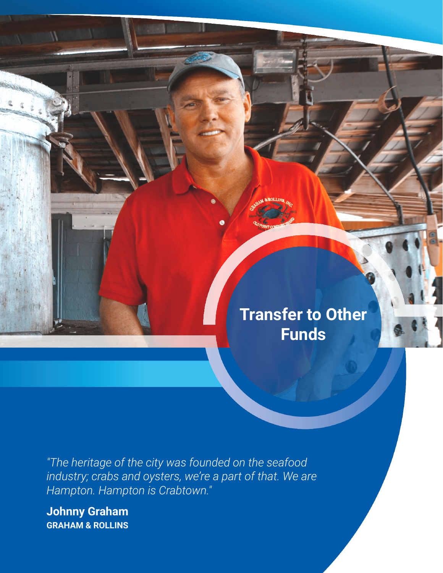**Transfer to Other Funds**

*"The heritage of the city was founded on the seafood industry; crabs and oysters, we're a part of that. We are Hampton. Hampton is Crabtown."* 

**Johnny Graham GRAHAM & ROLLINS**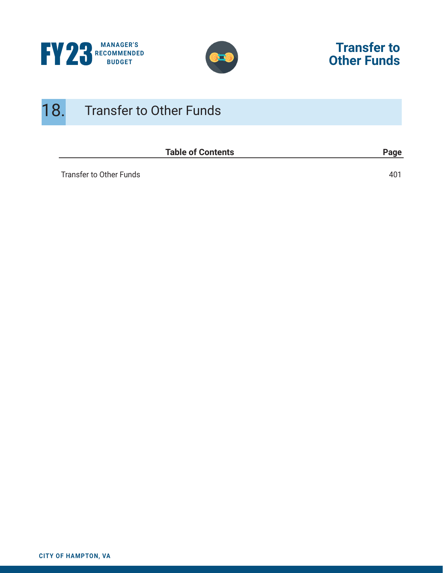





| 18. | <b>Transfer to Other Funds</b> |      |
|-----|--------------------------------|------|
|     | <b>Table of Contents</b>       | Page |
|     | Transfer to Other Funds        | 401  |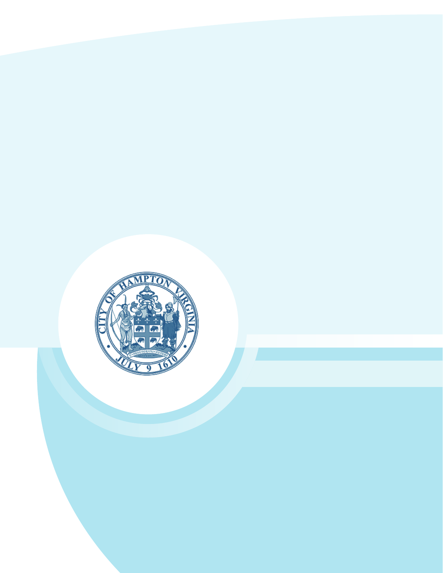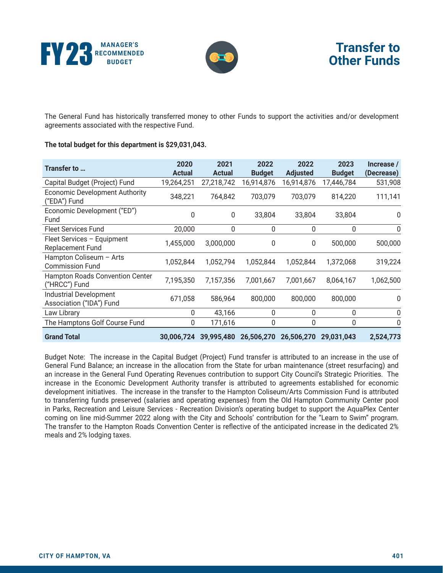





The General Fund has historically transferred money to other Funds to support the activities and/or development agreements associated with the respective Fund.

## **The total budget for this department is \$29,031,043.**

| Transfer to                                           | 2020<br><b>Actual</b> | 2021<br><b>Actual</b> | 2022<br><b>Budget</b>            | 2022<br><b>Adjusted</b> | 2023<br><b>Budget</b> | Increase /<br>(Decrease) |
|-------------------------------------------------------|-----------------------|-----------------------|----------------------------------|-------------------------|-----------------------|--------------------------|
| Capital Budget (Project) Fund                         | 19,264,251            | 27,218,742            | 16,914,876                       | 16,914,876              | 17,446,784            | 531,908                  |
| <b>Economic Development Authority</b><br>("EDA") Fund | 348,221               | 764.842               | 703,079                          | 703,079                 | 814,220               | 111,141                  |
| Economic Development ("ED")<br>Fund                   | 0                     | 0                     | 33,804                           | 33,804                  | 33,804                | 0                        |
| Fleet Services Fund                                   | 20,000                | 0                     | 0                                | 0                       | 0                     | 0                        |
| Fleet Services - Equipment<br><b>Replacement Fund</b> | 1,455,000             | 3,000,000             | 0                                | 0                       | 500,000               | 500,000                  |
| Hampton Coliseum - Arts<br><b>Commission Fund</b>     | 1,052,844             | 1,052,794             | 1,052,844                        | 1,052,844               | 1,372,068             | 319,224                  |
| Hampton Roads Convention Center<br>("HRCC") Fund      | 7,195,350             | 7,157,356             | 7,001,667                        | 7,001,667               | 8,064,167             | 1,062,500                |
| Industrial Development<br>Association ("IDA") Fund    | 671,058               | 586,964               | 800,000                          | 800,000                 | 800,000               | 0                        |
| Law Library                                           | 0                     | 43,166                | 0                                | 0                       | 0                     | 0                        |
| The Hamptons Golf Course Fund                         | 0                     | 171,616               | 0                                | 0                       | 0                     | 0                        |
| <b>Grand Total</b>                                    | 30,006,724            |                       | 39,995,480 26,506,270 26,506,270 |                         | 29,031,043            | 2,524,773                |

Budget Note: The increase in the Capital Budget (Project) Fund transfer is attributed to an increase in the use of General Fund Balance; an increase in the allocation from the State for urban maintenance (street resurfacing) and an increase in the General Fund Operating Revenues contribution to support City Council's Strategic Priorities. The increase in the Economic Development Authority transfer is attributed to agreements established for economic development initiatives. The increase in the transfer to the Hampton Coliseum/Arts Commission Fund is attributed to transferring funds preserved (salaries and operating expenses) from the Old Hampton Community Center pool in Parks, Recreation and Leisure Services - Recreation Division's operating budget to support the AquaPlex Center coming on line mid-Summer 2022 along with the City and Schools' contribution for the "Learn to Swim" program. The transfer to the Hampton Roads Convention Center is reflective of the anticipated increase in the dedicated 2% meals and 2% lodging taxes.